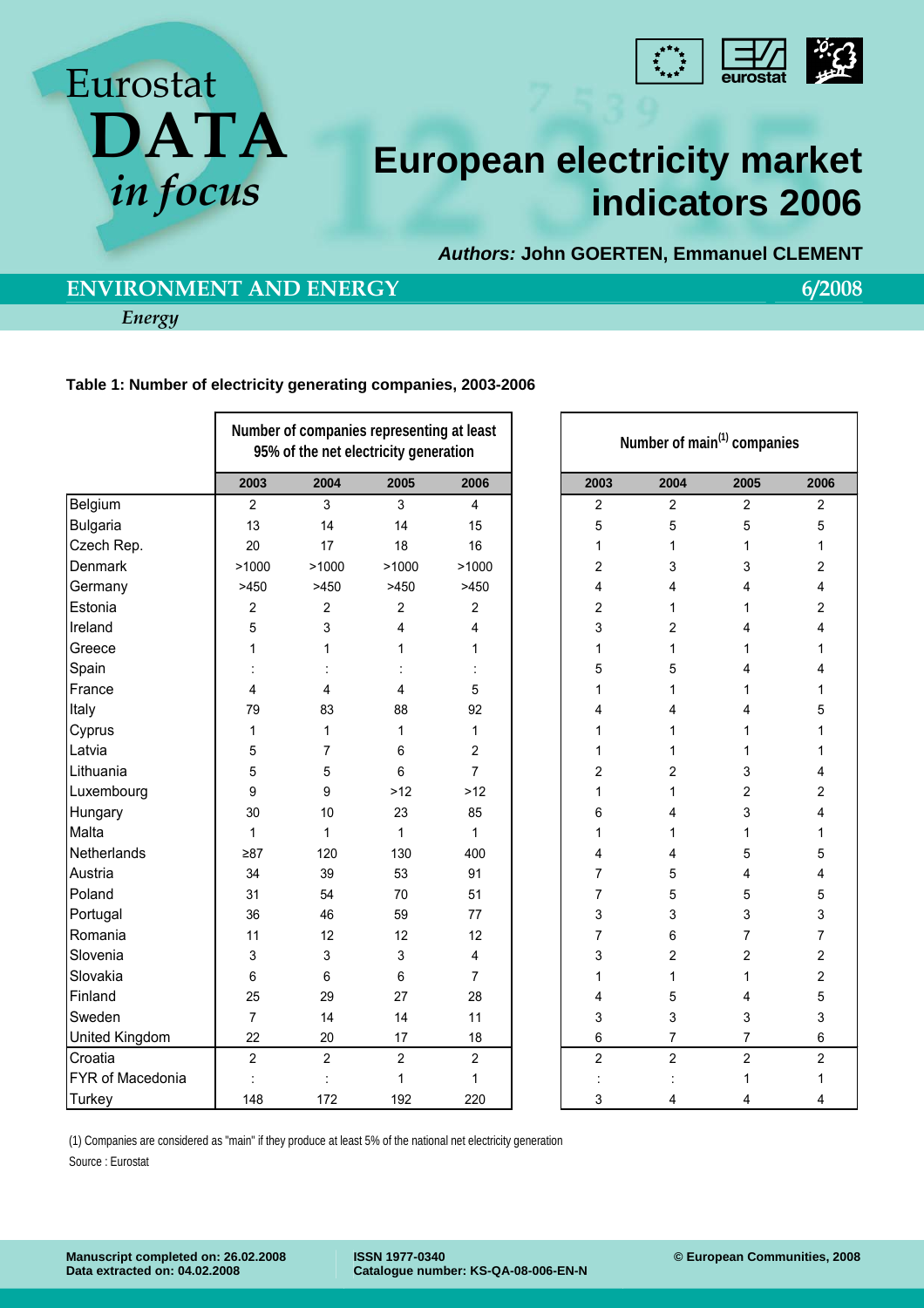



# **European electricity market indicators 2006**

*Authors:* **John GOERTEN, Emmanuel CLEMENT** 

# **ENVIRONMENT AND ENERGY** 6/2008

*Energy* 

### **Table 1: Number of electricity generating companies, 2003-2006**

|                  | Number of companies representing at least<br>95% of the net electricity generation |                |                |                |  | Number of main <sup>(1)</sup> companies |                |                |                |  |
|------------------|------------------------------------------------------------------------------------|----------------|----------------|----------------|--|-----------------------------------------|----------------|----------------|----------------|--|
|                  | 2003                                                                               | 2004           | 2005           | 2006           |  | 2003                                    | 2004           | 2005           | 2006           |  |
| Belgium          | $\overline{2}$                                                                     | 3              | 3              | $\overline{4}$ |  | $\overline{\mathbf{c}}$                 | $\overline{2}$ | $\overline{c}$ | 2              |  |
| <b>Bulgaria</b>  | 13                                                                                 | 14             | 14             | 15             |  | 5                                       | 5              | 5              | 5              |  |
| Czech Rep.       | 20                                                                                 | 17             | 18             | 16             |  | 1                                       | 1              | $\mathbf{1}$   | 1              |  |
| Denmark          | >1000                                                                              | >1000          | >1000          | >1000          |  | 2                                       | 3              | 3              | 2              |  |
| Germany          | >450                                                                               | >450           | >450           | >450           |  | 4                                       | 4              | 4              | 4              |  |
| Estonia          | $\overline{c}$                                                                     | 2              | $\overline{c}$ | $\overline{c}$ |  | 2                                       | 1              | 1              | 2              |  |
| Ireland          | 5                                                                                  | 3              | 4              | 4              |  | 3                                       | 2              | 4              | 4              |  |
| Greece           | 1                                                                                  | 1              | 1              | 1              |  | 1                                       | 1              | 1              | 1              |  |
| Spain            |                                                                                    |                |                |                |  | 5                                       | 5              | 4              | 4              |  |
| France           | 4                                                                                  | 4              | 4              | 5              |  | 1                                       | 1              | $\mathbf{1}$   | 1              |  |
| Italy            | 79                                                                                 | 83             | 88             | 92             |  | 4                                       | 4              | 4              | 5              |  |
| Cyprus           | 1                                                                                  | 1              | 1              | 1              |  | 1                                       | 1              | 1              |                |  |
| Latvia           | 5                                                                                  | 7              | 6              | 2              |  | 1                                       | 1              | 1              | 1              |  |
| Lithuania        | 5                                                                                  | 5              | 6              | $\overline{7}$ |  | 2                                       | 2              | 3              | 4              |  |
| Luxembourg       | 9                                                                                  | 9              | $>12$          | $>12$          |  | 1                                       | 1              | $\overline{2}$ | $\overline{2}$ |  |
| Hungary          | 30                                                                                 | 10             | 23             | 85             |  | 6                                       | 4              | 3              | 4              |  |
| Malta            | $\mathbf{1}$                                                                       | 1              | $\mathbf{1}$   | 1              |  | 1                                       | 1              | 1              | 1              |  |
| Netherlands      | $\geq 87$                                                                          | 120            | 130            | 400            |  | 4                                       | 4              | 5              | 5              |  |
| Austria          | 34                                                                                 | 39             | 53             | 91             |  | 7                                       | 5              | 4              | 4              |  |
| Poland           | 31                                                                                 | 54             | 70             | 51             |  | 7                                       | 5              | 5              | 5              |  |
| Portugal         | 36                                                                                 | 46             | 59             | 77             |  | 3                                       | 3              | 3              | 3              |  |
| Romania          | 11                                                                                 | 12             | 12             | 12             |  | 7                                       | 6              | $\overline{7}$ | 7              |  |
| Slovenia         | 3                                                                                  | 3              | 3              | 4              |  | 3                                       | 2              | $\overline{c}$ | 2              |  |
| Slovakia         | 6                                                                                  | 6              | 6              | $\overline{7}$ |  | 1                                       | 1              | $\mathbf{1}$   | 2              |  |
| Finland          | 25                                                                                 | 29             | 27             | 28             |  | 4                                       | 5              | 4              | 5              |  |
| Sweden           | $\overline{7}$                                                                     | 14             | 14             | 11             |  | 3                                       | 3              | 3              | 3              |  |
| United Kingdom   | 22                                                                                 | 20             | 17             | 18             |  | 6                                       | $\overline{7}$ | $\overline{7}$ | 6              |  |
| Croatia          | $\overline{2}$                                                                     | $\overline{c}$ | $\overline{2}$ | $\overline{c}$ |  | $\overline{2}$                          | $\overline{2}$ | $\overline{2}$ | $\overline{2}$ |  |
| FYR of Macedonia |                                                                                    |                | 1              | 1              |  |                                         |                | 1              | 1              |  |
| <b>Turkey</b>    | 148                                                                                | 172            | 192            | 220            |  | 3                                       | 4              | 4              | 4              |  |

(1) Companies are considered as "main" if they produce at least 5% of the national net electricity generation

Source : Eurostat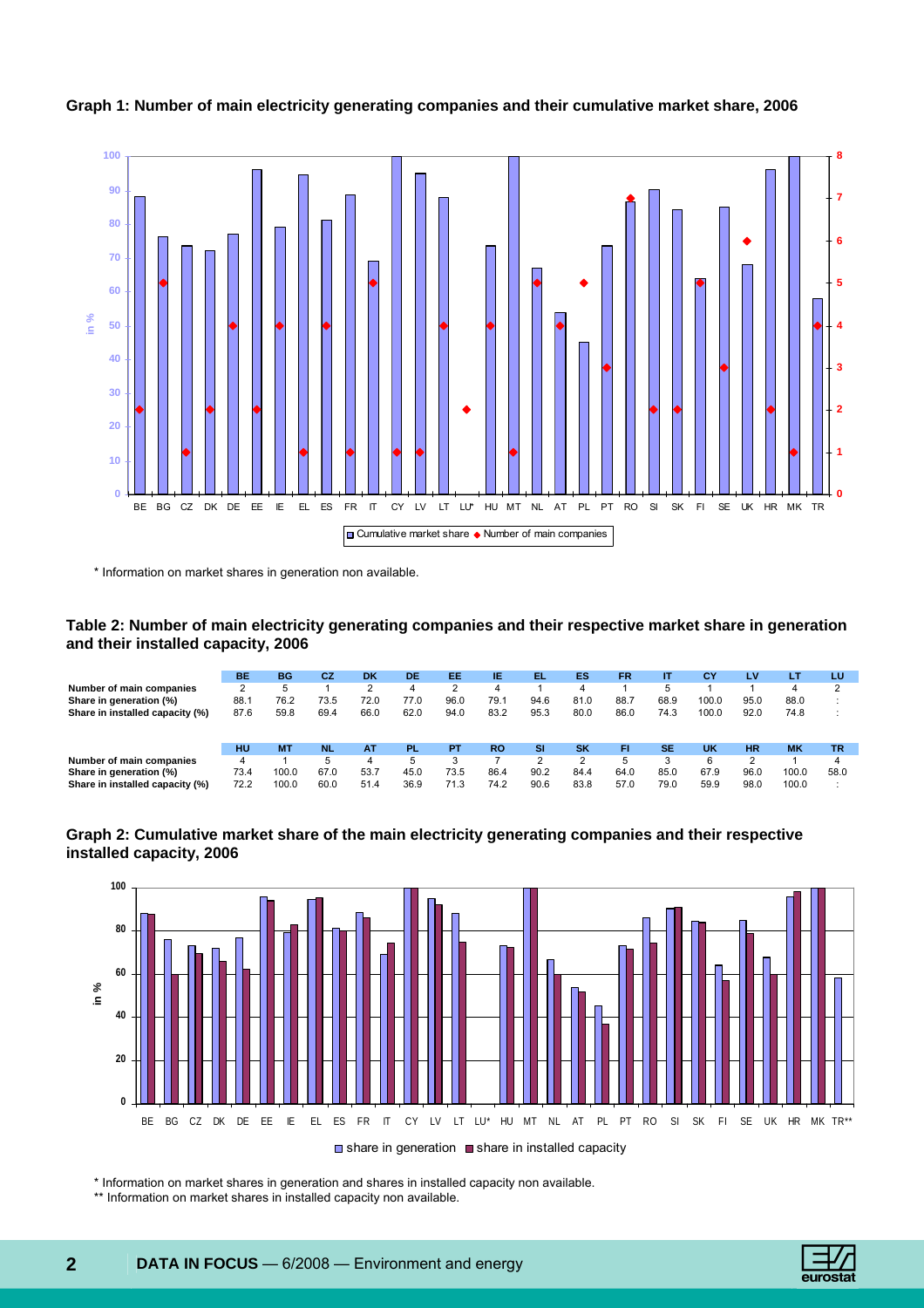

**Graph 1: Number of main electricity generating companies and their cumulative market share, 2006** 

\* Information on market shares in generation non available.

#### **Table 2: Number of main electricity generating companies and their respective market share in generation and their installed capacity, 2006**

|                                 | BE   | <b>BG</b> | CZ   | <b>DK</b> | DE   | EE   | IE        | EL.       | ES        | <b>FR</b> | IΤ        | СY        | LV        | LT        | LU        |
|---------------------------------|------|-----------|------|-----------|------|------|-----------|-----------|-----------|-----------|-----------|-----------|-----------|-----------|-----------|
| Number of main companies        | 2    | 5         |      | າ<br>ے    | 4    | າ    | 4         |           | 4         |           | 5         |           |           | 4         | ◠         |
| Share in generation (%)         | 88.  | 76.2      | 73.5 | 72.0      | 77.0 | 96.0 | 79.1      | 94.6      | 81.0      | 88.7      | 68.9      | 100.0     | 95.0      | 88.0      |           |
| Share in installed capacity (%) | 87.6 | 59.8      | 69.4 | 66.0      | 62.0 | 94.0 | 83.2      | 95.3      | 80.0      | 86.0      | 74.3      | 100.0     | 92.0      | 74.8      |           |
|                                 | HU   | <b>MT</b> | NL.  | <b>AT</b> | PL.  | PT   | <b>RO</b> | <b>SI</b> | <b>SK</b> | FI        | <b>SE</b> | <b>UK</b> | <b>HR</b> | <b>MK</b> | <b>TR</b> |
| Number of main companies        | 4    |           | 5    | 4         | 5    | 0    |           | ◠         | っ         | 5         | 2         | 6         | ◠         |           | 4         |
| Share in generation (%)         | 73.4 | 100.0     | 67.0 | 53.7      | 45.0 | 73.5 | 86.4      | 90.2      | 84.4      | 64.0      | 85.0      | 67.9      | 96.0      | 100.0     | 58.0      |
| Share in installed capacity (%) | 72.2 | 100.0     | 60.0 | 51.4      | 36.9 | 71.3 | 74.2      | 90.6      | 83.8      | 57.0      | 79.0      | 59.9      | 98.0      | 100.0     |           |





\* Information on market shares in generation and shares in installed capacity non available.

\*\* Information on market shares in installed capacity non available.

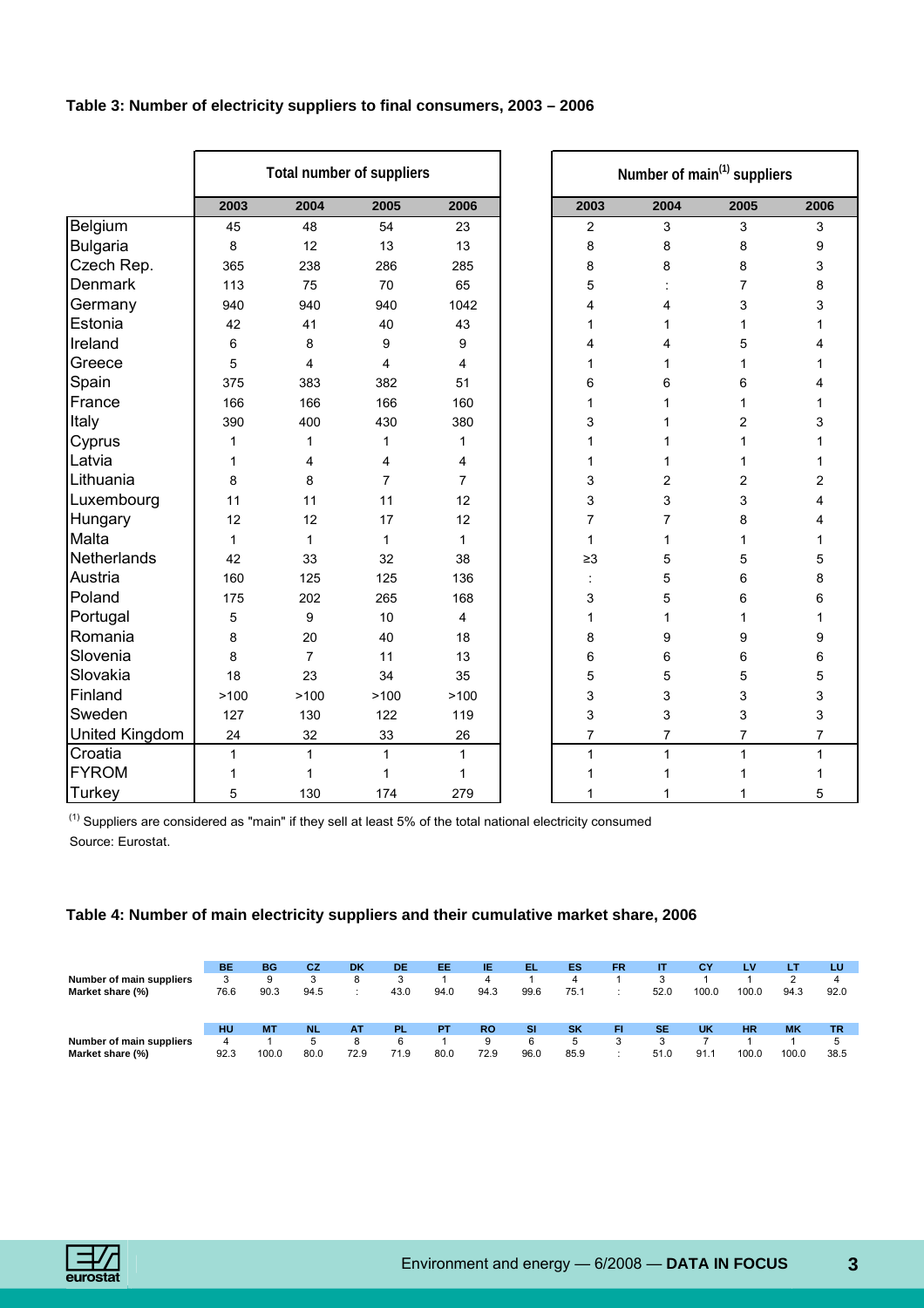| Table 3: Number of electricity suppliers to final consumers, 2003 - 2006 |  |  |
|--------------------------------------------------------------------------|--|--|
|--------------------------------------------------------------------------|--|--|

|                 |              |                | Total number of suppliers |                |                | Number of main <sup>(1)</sup> suppliers |                |                |
|-----------------|--------------|----------------|---------------------------|----------------|----------------|-----------------------------------------|----------------|----------------|
|                 | 2003         | 2004           | 2005                      | 2006           | 2003           | 2004                                    | 2005           | 2006           |
| Belgium         | 45           | 48             | 54                        | 23             | $\overline{c}$ | 3                                       | 3              | 3              |
| <b>Bulgaria</b> | 8            | 12             | 13                        | 13             | 8              | 8                                       | 8              | 9              |
| Czech Rep.      | 365          | 238            | 286                       | 285            | 8              | 8                                       | 8              | 3              |
| Denmark         | 113          | 75             | 70                        | 65             | 5              |                                         | 7              | 8              |
| Germany         | 940          | 940            | 940                       | 1042           | 4              | 4                                       | 3              | 3              |
| Estonia         | 42           | 41             | 40                        | 43             | 1              | 1                                       | 1              | 1              |
| Ireland         | 6            | 8              | 9                         | 9              | 4              | 4                                       | 5              | 4              |
| Greece          | 5            | 4              | 4                         | 4              | 1              | 1                                       | 1              | 1              |
| Spain           | 375          | 383            | 382                       | 51             | 6              | 6                                       | 6              | 4              |
| France          | 166          | 166            | 166                       | 160            | 1              | 1                                       | 1              | 1              |
| Italy           | 390          | 400            | 430                       | 380            | 3              | 1                                       | $\overline{c}$ | 3              |
| Cyprus          | 1            | 1              | $\mathbf{1}$              | 1              | 1              | 1                                       | 1              | 1              |
| Latvia          | 1            | 4              | 4                         | 4              | $\mathbf{1}$   | 1                                       | 1              | 1              |
| Lithuania       | 8            | 8              | $\overline{7}$            | $\overline{7}$ | 3              | 2                                       | $\overline{c}$ | 2              |
| Luxembourg      | 11           | 11             | 11                        | 12             | 3              | 3                                       | 3              | 4              |
| Hungary         | 12           | 12             | 17                        | 12             | $\overline{7}$ | 7                                       | 8              | 4              |
| Malta           | $\mathbf{1}$ | $\mathbf{1}$   | $\mathbf{1}$              | 1              | $\mathbf{1}$   | 1                                       | 1              | 1              |
| Netherlands     | 42           | 33             | 32                        | 38             | $\geq$ 3       | 5                                       | 5              | 5              |
| Austria         | 160          | 125            | 125                       | 136            | ÷              | 5                                       | 6              | 8              |
| Poland          | 175          | 202            | 265                       | 168            | 3              | 5                                       | 6              | 6              |
| Portugal        | 5            | 9              | 10                        | 4              | $\mathbf{1}$   | 1                                       | 1              | 1              |
| Romania         | 8            | 20             | 40                        | 18             | 8              | 9                                       | 9              | 9              |
| Slovenia        | 8            | $\overline{7}$ | 11                        | 13             | 6              | 6                                       | 6              | 6              |
| Slovakia        | 18           | 23             | 34                        | 35             | 5              | 5                                       | 5              | 5              |
| Finland         | >100         | >100           | >100                      | >100           | 3              | 3                                       | 3              | 3              |
| Sweden          | 127          | 130            | 122                       | 119            | 3              | 3                                       | 3              | 3              |
| United Kingdom  | 24           | 32             | 33                        | 26             | $\overline{7}$ | $\overline{7}$                          | $\overline{7}$ | $\overline{7}$ |
| Croatia         | $\mathbf{1}$ | $\mathbf{1}$   | $\mathbf{1}$              | $\mathbf{1}$   | $\mathbf{1}$   | $\mathbf{1}$                            | $\mathbf{1}$   | $\mathbf{1}$   |
| <b>FYROM</b>    | 1            | 1              | 1                         | 1              | 1              | 1                                       | 1              | 1              |
| Turkey          | 5            | 130            | 174                       | 279            | 1              | 1                                       | 1              | 5              |

 $(1)$  Suppliers are considered as "main" if they sell at least 5% of the total national electricity consumed Source: Eurostat.

## **Table 4: Number of main electricity suppliers and their cumulative market share, 2006**

| Number of main suppliers<br>Market share (%) | BE<br>76.6      | BG<br>90.3         | СZ<br>w<br>94.5  | DK              | DE<br>43.0       | EE<br>94.0 | IE<br>4<br>94.3   | EL.<br>99.6            | ES<br>4<br>75.7        | <b>FR</b> | IΤ<br>52.0        | СY<br>100.0 | LV<br>100.0        | LT<br>94.3         | LU<br>4<br>92.0        |
|----------------------------------------------|-----------------|--------------------|------------------|-----------------|------------------|------------|-------------------|------------------------|------------------------|-----------|-------------------|-------------|--------------------|--------------------|------------------------|
| Number of main suppliers<br>Market share (%) | HU<br>4<br>92.3 | <b>MT</b><br>100.0 | NL.<br>5<br>80.0 | ΑT<br>8<br>72.9 | `PL<br>6<br>71.9 | PТ<br>80.0 | <b>RO</b><br>72.9 | <b>SI</b><br>6<br>96.0 | <b>SK</b><br>5<br>85.9 | FI        | <b>SE</b><br>51.0 | UK<br>91.1  | <b>HR</b><br>100.0 | <b>MK</b><br>100.0 | <b>TR</b><br>5<br>38.5 |